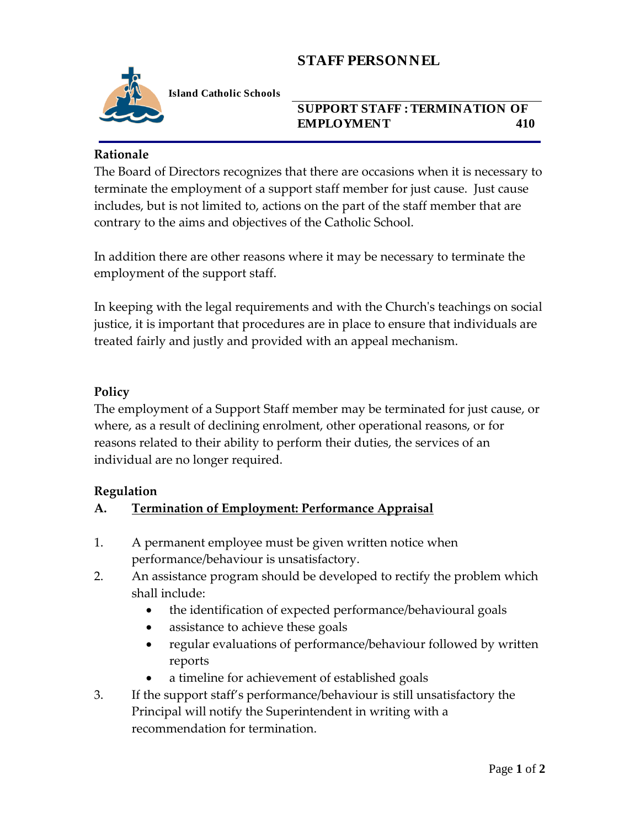# **STAFF PERSONNEL**



**Island Catholic Schools** 

## **SUPPORT STAFF : TERMINATION OF EMPLOYMENT 410**

#### **Rationale**

The Board of Directors recognizes that there are occasions when it is necessary to terminate the employment of a support staff member for just cause. Just cause includes, but is not limited to, actions on the part of the staff member that are contrary to the aims and objectives of the Catholic School.

In addition there are other reasons where it may be necessary to terminate the employment of the support staff.

In keeping with the legal requirements and with the Church's teachings on social justice, it is important that procedures are in place to ensure that individuals are treated fairly and justly and provided with an appeal mechanism.

#### **Policy**

The employment of a Support Staff member may be terminated for just cause, or where, as a result of declining enrolment, other operational reasons, or for reasons related to their ability to perform their duties, the services of an individual are no longer required.

#### **Regulation**

#### **A. Termination of Employment: Performance Appraisal**

- 1. A permanent employee must be given written notice when performance/behaviour is unsatisfactory.
- 2. An assistance program should be developed to rectify the problem which shall include:
	- the identification of expected performance/behavioural goals
	- assistance to achieve these goals
	- regular evaluations of performance/behaviour followed by written reports
	- a timeline for achievement of established goals
- 3. If the support staff's performance/behaviour is still unsatisfactory the Principal will notify the Superintendent in writing with a recommendation for termination.